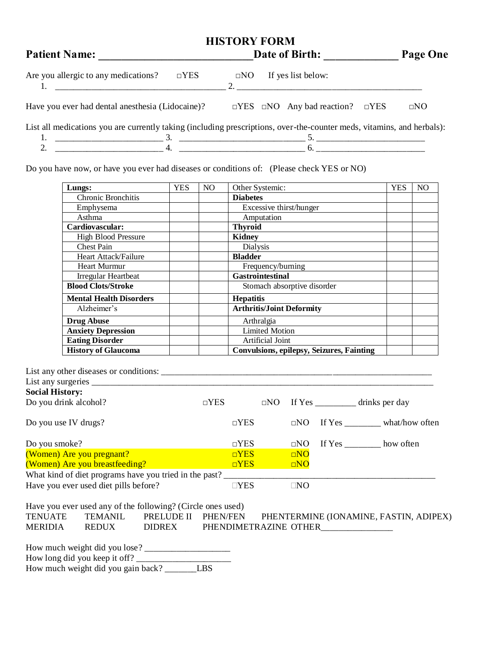| <b>HISTORY FORM</b>                                                                                                    |                                                      |              |  |  |  |  |  |  |
|------------------------------------------------------------------------------------------------------------------------|------------------------------------------------------|--------------|--|--|--|--|--|--|
| <b>Patient Name:</b>                                                                                                   | <b>Date of Birth:</b>                                | Page One     |  |  |  |  |  |  |
| Are you allergic to any medications?<br>$\neg$ YES                                                                     | If yes list below:<br>$\Box$ NO<br>$2^{2}$           |              |  |  |  |  |  |  |
| Have you ever had dental anesthesia (Lidocaine)?                                                                       | $\Box$ YES $\Box$ NO Any bad reaction?<br>$\neg$ YES | $\square$ NO |  |  |  |  |  |  |
| List all medications you are currently taking (including prescriptions, over-the-counter meds, vitamins, and herbals): |                                                      |              |  |  |  |  |  |  |

2. \_\_\_\_\_\_\_\_\_\_\_\_\_\_\_\_\_\_\_\_\_\_\_\_ 4. \_\_\_\_\_\_\_\_\_\_\_\_\_\_\_\_\_\_\_\_\_\_\_\_\_\_\_\_ 6. \_\_\_\_\_\_\_\_\_\_\_\_\_\_\_\_\_\_\_\_\_\_\_\_

Do you have now, or have you ever had diseases or conditions of: (Please check YES or NO)

| Lungs:                         | <b>YES</b> | N <sub>O</sub> | Other Systemic:                           | <b>YES</b> | N <sub>O</sub> |
|--------------------------------|------------|----------------|-------------------------------------------|------------|----------------|
| Chronic Bronchitis             |            |                | <b>Diabetes</b>                           |            |                |
| Emphysema                      |            |                | Excessive thirst/hunger                   |            |                |
| Asthma                         |            |                | Amputation                                |            |                |
| Cardiovascular:                |            |                | <b>Thyroid</b>                            |            |                |
| <b>High Blood Pressure</b>     |            |                | <b>Kidney</b>                             |            |                |
| <b>Chest Pain</b>              |            |                | Dialysis                                  |            |                |
| Heart Attack/Failure           |            |                | <b>Bladder</b>                            |            |                |
| <b>Heart Murmur</b>            |            |                | Frequency/burning                         |            |                |
| Irregular Heartbeat            |            |                | <b>Gastrointestinal</b>                   |            |                |
| <b>Blood Clots/Stroke</b>      |            |                | Stomach absorptive disorder               |            |                |
| <b>Mental Health Disorders</b> |            |                | <b>Hepatitis</b>                          |            |                |
| Alzheimer's                    |            |                | <b>Arthritis/Joint Deformity</b>          |            |                |
| <b>Drug Abuse</b>              |            |                | Arthralgia                                |            |                |
| <b>Anxiety Depression</b>      |            |                | <b>Limited Motion</b>                     |            |                |
| <b>Eating Disorder</b>         |            |                | Artificial Joint                          |            |                |
| <b>History of Glaucoma</b>     |            |                | Convulsions, epilepsy, Seizures, Fainting |            |                |

| List any other diseases or conditions:                                                    |            |               |           |           |                                       |
|-------------------------------------------------------------------------------------------|------------|---------------|-----------|-----------|---------------------------------------|
| List any surgeries $\frac{1}{\sqrt{1-\frac{1}{2}}}\left\lfloor \frac{1}{2} \right\rfloor$ |            |               |           |           |                                       |
| <b>Social History:</b>                                                                    |            |               |           |           |                                       |
| Do you drink alcohol?                                                                     | $\neg$ YES |               | $\Box$ NO |           | If Yes _______________ drinks per day |
| Do you use IV drugs?                                                                      |            | $\neg$ YES    |           | $\Box$ NO | If Yes what/how often                 |
| Do you smoke?                                                                             |            | $\neg$ YES    |           | DNO       | If Yes _________ how often            |
| (Women) Are you pregnant?                                                                 |            | $\neg$ YES    |           | DNO       |                                       |
| (Women) Are you breastfeeding?                                                            |            | $\neg$ YES    |           | $\Box$ NO |                                       |
| What kind of diet programs have you tried in the past?                                    |            |               |           |           |                                       |
| Have you ever used diet pills before?                                                     |            | $\square$ YES |           | $\Box$ NO |                                       |
| Have you ever used any of the following? (Circle ones used)                               |            |               |           |           |                                       |

TENUATE TEMANIL PRELUDE II PHEN/FEN PHENTERMINE (IONAMINE, FASTIN, ADIPEX)

| <b>MERIDIA</b> | <b>REDUX</b> | DIDREX | PHENDIMETRAZINE OTHER |
|----------------|--------------|--------|-----------------------|
|                |              |        |                       |

| How much weight did you lose?      |            |
|------------------------------------|------------|
| How long did you keep it off?      |            |
| How much weight did you gain back? | <b>LBS</b> |